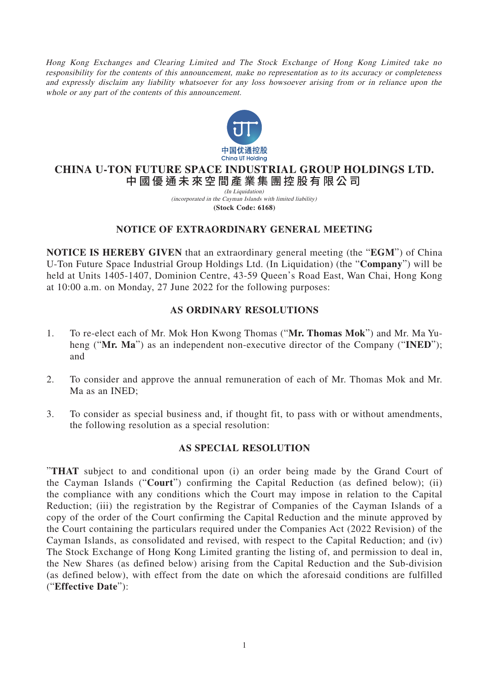Hong Kong Exchanges and Clearing Limited and The Stock Exchange of Hong Kong Limited take no responsibility for the contents of this announcement, make no representation as to its accuracy or completeness and expressly disclaim any liability whatsoever for any loss howsoever arising from or in reliance upon the whole or any part of the contents of this announcement.



# **CHINA U-TON FUTURE SPACE INDUSTRIAL GROUP HOLDINGS LTD.** 中國優通未來空間產業集團控股有限公司

(In Liquidation) **(Stock Code: 6168)** (incorporated in the Cayman Islands with limited liability)

## **NOTICE OF EXTRAORDINARY GENERAL MEETING**

**NOTICE IS HEREBY GIVEN** that an extraordinary general meeting (the "**EGM**") of China U-Ton Future Space Industrial Group Holdings Ltd. (In Liquidation) (the "**Company**") will be held at Units 1405-1407, Dominion Centre, 43-59 Queen's Road East, Wan Chai, Hong Kong at 10:00 a.m. on Monday, 27 June 2022 for the following purposes:

## **AS ORDINARY RESOLUTIONS**

- 1. To re-elect each of Mr. Mok Hon Kwong Thomas ("**Mr. Thomas Mok**") and Mr. Ma Yuheng ("**Mr. Ma**") as an independent non-executive director of the Company ("**INED**"); and
- 2. To consider and approve the annual remuneration of each of Mr. Thomas Mok and Mr. Ma as an INED;
- 3. To consider as special business and, if thought fit, to pass with or without amendments, the following resolution as a special resolution:

#### **AS SPECIAL RESOLUTION**

"**THAT** subject to and conditional upon (i) an order being made by the Grand Court of the Cayman Islands ("**Court**") confirming the Capital Reduction (as defined below); (ii) the compliance with any conditions which the Court may impose in relation to the Capital Reduction; (iii) the registration by the Registrar of Companies of the Cayman Islands of a copy of the order of the Court confirming the Capital Reduction and the minute approved by the Court containing the particulars required under the Companies Act (2022 Revision) of the Cayman Islands, as consolidated and revised, with respect to the Capital Reduction; and (iv) The Stock Exchange of Hong Kong Limited granting the listing of, and permission to deal in, the New Shares (as defined below) arising from the Capital Reduction and the Sub-division (as defined below), with effect from the date on which the aforesaid conditions are fulfilled ("**Effective Date**"):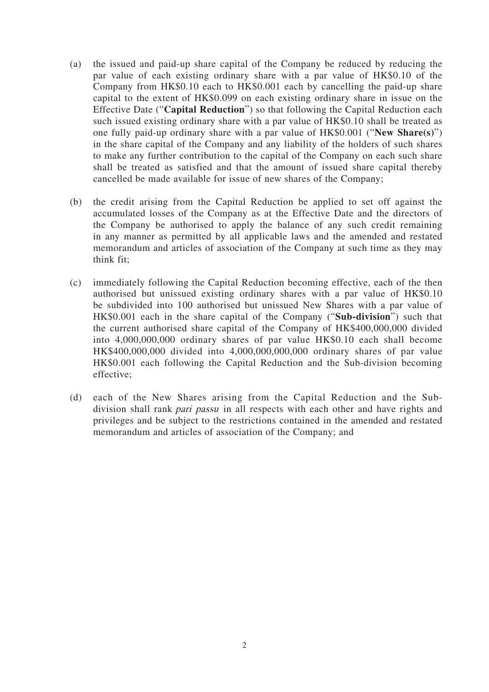- (a) the issued and paid-up share capital of the Company be reduced by reducing the par value of each existing ordinary share with a par value of HK\$0.10 of the Company from HK\$0.10 each to HK\$0.001 each by cancelling the paid-up share capital to the extent of HK\$0.099 on each existing ordinary share in issue on the Effective Date ("**Capital Reduction**") so that following the Capital Reduction each such issued existing ordinary share with a par value of HK\$0.10 shall be treated as one fully paid-up ordinary share with a par value of HK\$0.001 ("**New Share(s)**") in the share capital of the Company and any liability of the holders of such shares to make any further contribution to the capital of the Company on each such share shall be treated as satisfied and that the amount of issued share capital thereby cancelled be made available for issue of new shares of the Company;
- (b) the credit arising from the Capital Reduction be applied to set off against the accumulated losses of the Company as at the Effective Date and the directors of the Company be authorised to apply the balance of any such credit remaining in any manner as permitted by all applicable laws and the amended and restated memorandum and articles of association of the Company at such time as they may think fit;
- (c) immediately following the Capital Reduction becoming effective, each of the then authorised but unissued existing ordinary shares with a par value of HK\$0.10 be subdivided into 100 authorised but unissued New Shares with a par value of HK\$0.001 each in the share capital of the Company ("**Sub-division**") such that the current authorised share capital of the Company of HK\$400,000,000 divided into 4,000,000,000 ordinary shares of par value HK\$0.10 each shall become HK\$400,000,000 divided into 4,000,000,000,000 ordinary shares of par value HK\$0.001 each following the Capital Reduction and the Sub-division becoming effective;
- (d) each of the New Shares arising from the Capital Reduction and the Subdivision shall rank pari passu in all respects with each other and have rights and privileges and be subject to the restrictions contained in the amended and restated memorandum and articles of association of the Company; and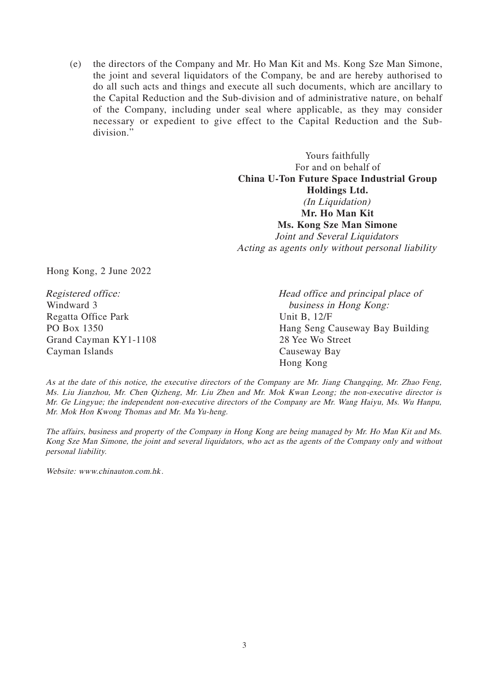(e) the directors of the Company and Mr. Ho Man Kit and Ms. Kong Sze Man Simone, the joint and several liquidators of the Company, be and are hereby authorised to do all such acts and things and execute all such documents, which are ancillary to the Capital Reduction and the Sub-division and of administrative nature, on behalf of the Company, including under seal where applicable, as they may consider necessary or expedient to give effect to the Capital Reduction and the Subdivision."

> Yours faithfully For and on behalf of **China U-Ton Future Space Industrial Group Holdings Ltd.** (In Liquidation) **Mr. Ho Man Kit Ms. Kong Sze Man Simone** Joint and Several Liquidators Acting as agents only without personal liability

Hong Kong, 2 June 2022

Registered office: Windward 3 Regatta Office Park PO Box 1350 Grand Cayman KY1-1108 Cayman Islands

Head office and principal place of business in Hong Kong: Unit B, 12/F Hang Seng Causeway Bay Building 28 Yee Wo Street Causeway Bay Hong Kong

As at the date of this notice, the executive directors of the Company are Mr. Jiang Changqing, Mr. Zhao Feng, Ms. Liu Jianzhou, Mr. Chen Qizheng, Mr. Liu Zhen and Mr. Mok Kwan Leong; the non-executive director is Mr. Ge Lingyue; the independent non-executive directors of the Company are Mr. Wang Haiyu, Ms. Wu Hanpu, Mr. Mok Hon Kwong Thomas and Mr. Ma Yu-heng.

The affairs, business and property of the Company in Hong Kong are being managed by Mr. Ho Man Kit and Ms. Kong Sze Man Simone, the joint and several liquidators, who act as the agents of the Company only and without personal liability.

Website: www.chinauton.com.hk.